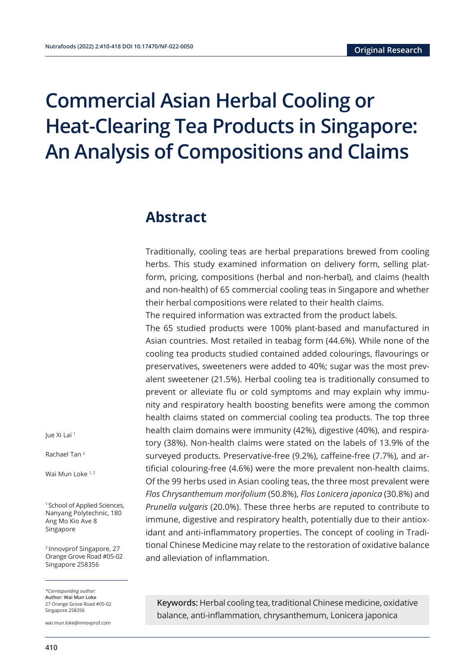# **Commercial Asian Herbal Cooling or Heat-Clearing Tea Products in Singapore: An Analysis of Compositions and Claims**

### **Abstract**

Traditionally, cooling teas are herbal preparations brewed from cooling herbs. This study examined information on delivery form, selling platform, pricing, compositions (herbal and non-herbal), and claims (health and non-health) of 65 commercial cooling teas in Singapore and whether their herbal compositions were related to their health claims.

The required information was extracted from the product labels.

The 65 studied products were 100% plant-based and manufactured in Asian countries. Most retailed in teabag form (44.6%). While none of the cooling tea products studied contained added colourings, flavourings or preservatives, sweeteners were added to 40%; sugar was the most prevalent sweetener (21.5%). Herbal cooling tea is traditionally consumed to prevent or alleviate flu or cold symptoms and may explain why immunity and respiratory health boosting benefits were among the common health claims stated on commercial cooling tea products. The top three health claim domains were immunity (42%), digestive (40%), and respiratory (38%). Non-health claims were stated on the labels of 13.9% of the surveyed products. Preservative-free (9.2%), caffeine-free (7.7%), and artificial colouring-free (4.6%) were the more prevalent non-health claims. Of the 99 herbs used in Asian cooling teas, the three most prevalent were *Flos Chrysanthemum morifolium* (50.8%), *Flos Lonicera japonica* (30.8%) and *Prunella vulgaris* (20.0%). These three herbs are reputed to contribute to immune, digestive and respiratory health, potentially due to their antioxidant and anti-inflammatory properties. The concept of cooling in Traditional Chinese Medicine may relate to the restoration of oxidative balance and alleviation of inflammation.

**Keywords:** Herbal cooling tea, traditional Chinese medicine, oxidative balance, anti-inflammation, chrysanthemum, Lonicera japonica

Jue Xi Lai <sup>1</sup>

Rachael Tan 2

Wai Mun Loke 1,2

<sup>1</sup> School of Applied Sciences, Nanyang Polytechnic, 180 Ang Mo Kio Ave 8 Singapore

<sup>2</sup> Innovprof Singapore, 27 Orange Grove Road #05-02 Singapore 258356

*\*Corresponding author:*  **Author: Wai Mun Loke** 27 Orange Grove Road #05-02 Singapore 258356

wai.mun.loke@innovprof.com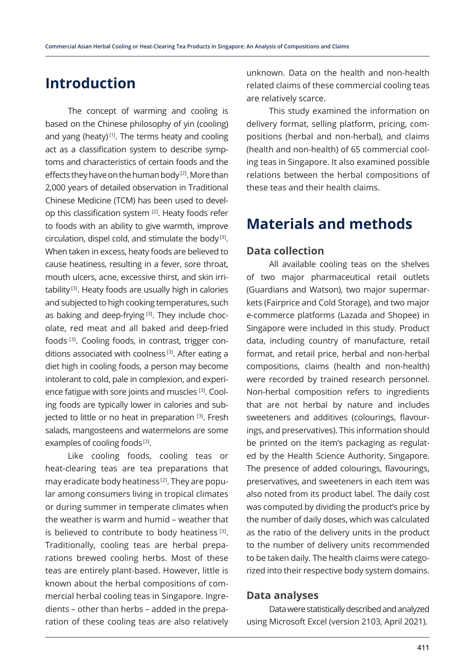# **Introduction**

The concept of warming and cooling is based on the Chinese philosophy of yin (cooling) and yang (heaty)<sup>[1]</sup>. The terms heaty and cooling act as a classification system to describe symptoms and characteristics of certain foods and the effects they have on the human body [2]. More than 2,000 years of detailed observation in Traditional Chinese Medicine (TCM) has been used to develop this classification system [2]. Heaty foods refer to foods with an ability to give warmth, improve circulation, dispel cold, and stimulate the body [3]. When taken in excess, heaty foods are believed to cause heatiness, resulting in a fever, sore throat, mouth ulcers, acne, excessive thirst, and skin irritability [3]. Heaty foods are usually high in calories and subjected to high cooking temperatures, such as baking and deep-frying<sup>[3]</sup>. They include chocolate, red meat and all baked and deep-fried foods [3]. Cooling foods, in contrast, trigger conditions associated with coolness<sup>[3]</sup>. After eating a diet high in cooling foods, a person may become intolerant to cold, pale in complexion, and experience fatigue with sore joints and muscles [3]. Cooling foods are typically lower in calories and subjected to little or no heat in preparation [3]. Fresh salads, mangosteens and watermelons are some examples of cooling foods<sup>[3]</sup>.

Like cooling foods, cooling teas or heat-clearing teas are tea preparations that may eradicate body heatiness [2]. They are popular among consumers living in tropical climates or during summer in temperate climates when the weather is warm and humid – weather that is believed to contribute to body heatiness<sup>[3]</sup>. Traditionally, cooling teas are herbal preparations brewed cooling herbs. Most of these teas are entirely plant-based. However, little is known about the herbal compositions of commercial herbal cooling teas in Singapore. Ingredients – other than herbs – added in the preparation of these cooling teas are also relatively unknown. Data on the health and non-health related claims of these commercial cooling teas are relatively scarce.

This study examined the information on delivery format, selling platform, pricing, compositions (herbal and non-herbal), and claims (health and non-health) of 65 commercial cooling teas in Singapore. It also examined possible relations between the herbal compositions of these teas and their health claims.

# **Materials and methods**

#### **Data collection**

All available cooling teas on the shelves of two major pharmaceutical retail outlets (Guardians and Watson), two major supermarkets (Fairprice and Cold Storage), and two major e-commerce platforms (Lazada and Shopee) in Singapore were included in this study. Product data, including country of manufacture, retail format, and retail price, herbal and non-herbal compositions, claims (health and non-health) were recorded by trained research personnel. Non-herbal composition refers to ingredients that are not herbal by nature and includes sweeteners and additives (colourings, flavourings, and preservatives). This information should be printed on the item's packaging as regulated by the Health Science Authority, Singapore. The presence of added colourings, flavourings, preservatives, and sweeteners in each item was also noted from its product label. The daily cost was computed by dividing the product's price by the number of daily doses, which was calculated as the ratio of the delivery units in the product to the number of delivery units recommended to be taken daily. The health claims were categorized into their respective body system domains.

#### **Data analyses**

Data were statistically described and analyzed using Microsoft Excel (version 2103, April 2021).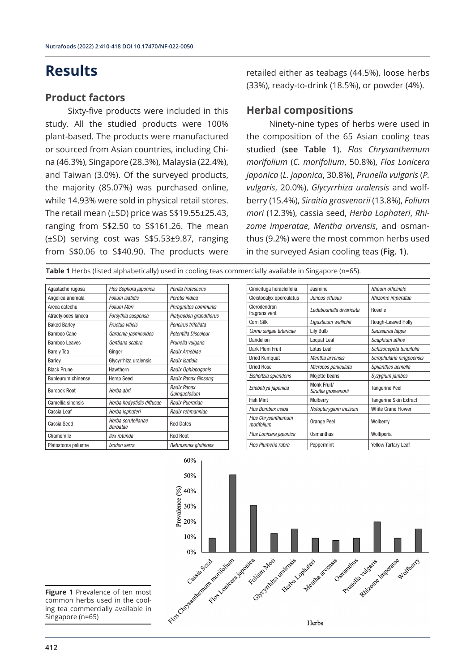# **Results**

#### **Product factors**

Sixty-five products were included in this study. All the studied products were 100% plant-based. The products were manufactured or sourced from Asian countries, including China (46.3%), Singapore (28.3%), Malaysia (22.4%), and Taiwan (3.0%). Of the surveyed products, the majority (85.07%) was purchased online, while 14.93% were sold in physical retail stores. The retail mean (±SD) price was S\$19.55±25.43, ranging from S\$2.50 to S\$161.26. The mean (±SD) serving cost was S\$5.53±9.87, ranging from S\$0.06 to S\$40.90. The products were

retailed either as teabags (44.5%), loose herbs (33%), ready-to-drink (18.5%), or powder (4%).

### **Herbal compositions**

Ninety-nine types of herbs were used in the composition of the 65 Asian cooling teas studied (**see Table 1**). *Flos Chrysanthemum morifolium* (*C. morifolium*, 50.8%), *Flos Lonicera japonica* (*L. japonica*, 30.8%), *Prunella vulgaris* (*P. vulgaris*, 20.0%), *Glycyrrhiza uralensis* and wolfberry (15.4%), *Siraitia grosvenorii* (13.8%), *Folium mori* (12.3%), cassia seed, *Herba Lophateri*, *Rhizome imperatae*, *Mentha arvensis*, and osmanthus (9.2%) were the most common herbs used in the surveyed Asian cooling teas (**Fig. 1**).

**Table 1** Herbs (listed alphabetically) used in cooling teas commercially available in Singapore (n=65).

| Agastache rugosa          | Flos Sophora japonica                  | Perilla frutescens           |
|---------------------------|----------------------------------------|------------------------------|
| Angelica anomala          | Folium isatidis                        | Perotis indica               |
| Areca catechu             | <b>Folium Mori</b>                     | Phragmites communis          |
| Atractylodes lancea       | Forsythia suspensa                     | Platycodon grandiflorus      |
| <b>Baked Barley</b>       | Fructus viticis                        | Poncirus trifoliata          |
| Bamboo Cane               | Gardenia jasminoides                   | Potentilla Discolour         |
| <b>Bamboo Leaves</b>      | Gentiana scabra                        | Prunella vulgaris            |
| <b>Barely Tea</b>         | Ginger                                 | Radix Arnebiae               |
| Barley                    | Glycyrrhiza uralensis                  | Radix isatidis               |
| <b>Black Prune</b>        | Hawthorn                               | Radix Ophiopogonis           |
| <b>Bupleurum chinense</b> | <b>Hemp Seed</b>                       | Radix Panax Ginseng          |
| <b>Burdock Root</b>       | Herba abri                             | Radix Panax<br>Quinquefolium |
| Camellia sinensis         | Herba hedyotidis diffusae              | Radix Puerariae              |
| Cassia Leaf               | Herba lophateri                        | Radix rehmanniae             |
| Cassia Seed               | Herba scrutellariae<br><b>Barbatae</b> | <b>Red Dates</b>             |
| Chamomile                 | llex rotunda                           | <b>Red Root</b>              |
| Platostoma palustre       | Isodon serra                           | Rehmannia glutinosa          |

| Cimicifuga heracleifolia                | Jasmine                             | Rheum officinale              |
|-----------------------------------------|-------------------------------------|-------------------------------|
| Cleistocalyx operculatus                | Juncus effusus                      | Rhizome imperatae             |
| Clerodendron<br>fragrans vent           | Ledebouriella divaricata            | Roselle                       |
| Corn Silk                               | Ligusticum wallichii                | Rough-Leaved Holly            |
| Cornu saigae tataricae                  | Lily Bulb                           | Saussurea lappa               |
| Dandelion                               | Loquat Leaf                         | Scaphium affine               |
| Dark Plum Fruit                         | Lotus Leaf                          | Schizonepeta tenuifolia       |
| <b>Dried Kumquat</b>                    | Mentha arvensis                     | Scrophularia ningpoensis      |
| <b>Dried Rose</b>                       | Microcos paniculata                 | Spilanthes acmella            |
| Elsholtzia splendens                    | Mojette beans                       | Syzygium jambos               |
| Eriobotrya japonica                     | Monk Fruit/<br>Siraitia grosvenorii | <b>Tangerine Peel</b>         |
| <b>Fish Mint</b>                        | Mulberry                            | <b>Tangerine Skin Extract</b> |
| Flos Bombax ceiba                       | Notopterygium incisum               | <b>White Crane Flower</b>     |
| <b>Flos Chrysanthemum</b><br>morifolium | Orange Peel                         | Wolberry                      |
| Flos Lonicera japonica                  | Osmanthus                           | Wolfiporia                    |
| Flos Plumeria rubra                     | Peppermint                          | <b>Yellow Tartary Leaf</b>    |



**Figure 1** Prevalence of ten most common herbs used in the cooling tea commercially available in Singapore (n=65)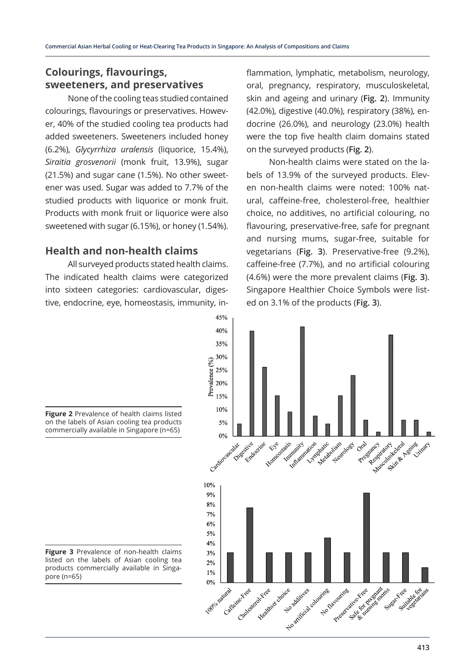### **Colourings, flavourings, sweeteners, and preservatives**

None of the cooling teas studied contained colourings, flavourings or preservatives. However, 40% of the studied cooling tea products had added sweeteners. Sweeteners included honey (6.2%), *Glycyrrhiza uralensis* (liquorice, 15.4%), *Siraitia grosvenorii* (monk fruit, 13.9%), sugar (21.5%) and sugar cane (1.5%). No other sweetener was used. Sugar was added to 7.7% of the studied products with liquorice or monk fruit. Products with monk fruit or liquorice were also sweetened with sugar (6.15%), or honey (1.54%).

#### **Health and non-health claims**

All surveyed products stated health claims. The indicated health claims were categorized into sixteen categories: cardiovascular, digestive, endocrine, eye, homeostasis, immunity, inflammation, lymphatic, metabolism, neurology, oral, pregnancy, respiratory, musculoskeletal, skin and ageing and urinary (**Fig. 2**). Immunity (42.0%), digestive (40.0%), respiratory (38%), endocrine (26.0%), and neurology (23.0%) health were the top five health claim domains stated on the surveyed products (**Fig. 2**).

Non-health claims were stated on the labels of 13.9% of the surveyed products. Eleven non-health claims were noted: 100% natural, caffeine-free, cholesterol-free, healthier choice, no additives, no artificial colouring, no flavouring, preservative-free, safe for pregnant and nursing mums, sugar-free, suitable for vegetarians (**Fig. 3**). Preservative-free (9.2%), caffeine-free (7.7%), and no artificial colouring (4.6%) were the more prevalent claims (**Fig. 3**). Singapore Healthier Choice Symbols were listed on 3.1% of the products (**Fig. 3**).



**Figure 2** Prevalence of health claims listed on the labels of Asian cooling tea products commercially available in Singapore (n=65)

**Figure 3** Prevalence of non-health claims listed on the labels of Asian cooling tea products commercially available in Singapore (n=65)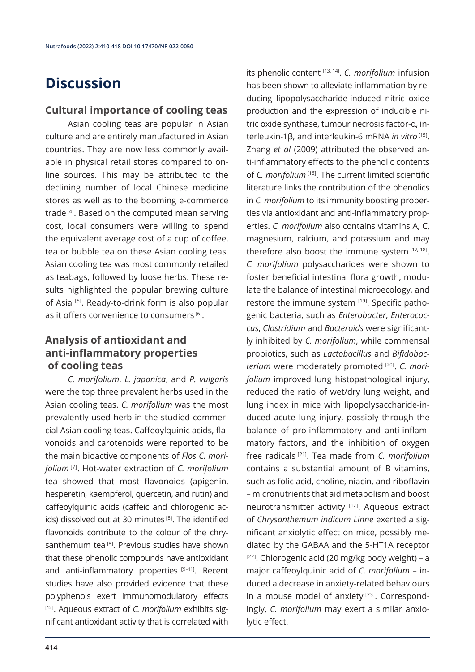# **Discussion**

#### **Cultural importance of cooling teas**

Asian cooling teas are popular in Asian culture and are entirely manufactured in Asian countries. They are now less commonly available in physical retail stores compared to online sources. This may be attributed to the declining number of local Chinese medicine stores as well as to the booming e-commerce trade<sup>[4]</sup>. Based on the computed mean serving cost, local consumers were willing to spend the equivalent average cost of a cup of coffee, tea or bubble tea on these Asian cooling teas. Asian cooling tea was most commonly retailed as teabags, followed by loose herbs. These results highlighted the popular brewing culture of Asia [5]. Ready-to-drink form is also popular as it offers convenience to consumers [6].

### **Analysis of antioxidant and anti-inflammatory properties of cooling teas**

*C. morifolium*, *L. japonica*, and *P. vulgaris* were the top three prevalent herbs used in the Asian cooling teas. *C. morifolium* was the most prevalently used herb in the studied commercial Asian cooling teas. Caffeoylquinic acids, flavonoids and carotenoids were reported to be the main bioactive components of *Flos C. morifolium* [7]. Hot-water extraction of *C. morifolium* tea showed that most flavonoids (apigenin, hesperetin, kaempferol, quercetin, and rutin) and caffeoylquinic acids (caffeic and chlorogenic acids) dissolved out at 30 minutes<sup>[8]</sup>. The identified flavonoids contribute to the colour of the chrysanthemum tea [8]. Previous studies have shown that these phenolic compounds have antioxidant and anti-inflammatory properties  $[9-11]$ . Recent studies have also provided evidence that these polyphenols exert immunomodulatory effects [12]. Aqueous extract of *C. morifolium* exhibits significant antioxidant activity that is correlated with

its phenolic content [13, 14]. *C. morifolium* infusion has been shown to alleviate inflammation by reducing lipopolysaccharide-induced nitric oxide production and the expression of inducible nitric oxide synthase, tumour necrosis factor-α, interleukin-1β, and interleukin-6 mRNA *in vitro* [15]. Zhang *et al* (2009) attributed the observed anti-inflammatory effects to the phenolic contents of *C. morifolium* [16]. The current limited scientific literature links the contribution of the phenolics in *C. morifolium* to its immunity boosting properties via antioxidant and anti-inflammatory properties. *C. morifolium* also contains vitamins A, C, magnesium, calcium, and potassium and may therefore also boost the immune system  $[17, 18]$ . *C. morifolium* polysaccharides were shown to foster beneficial intestinal flora growth, modulate the balance of intestinal microecology, and restore the immune system [19]. Specific pathogenic bacteria, such as *Enterobacter*, *Enterococcus*, *Clostridium* and *Bacteroids* were significantly inhibited by *C. morifolium*, while commensal probiotics, such as *Lactobacillus* and *Bifidobacterium* were moderately promoted [20]. *C. morifolium* improved lung histopathological injury, reduced the ratio of wet/dry lung weight, and lung index in mice with lipopolysaccharide-induced acute lung injury, possibly through the balance of pro-inflammatory and anti-inflammatory factors, and the inhibition of oxygen free radicals [21]. Tea made from *C. morifolium* contains a substantial amount of B vitamins, such as folic acid, choline, niacin, and riboflavin – micronutrients that aid metabolism and boost neurotransmitter activity [17]. Aqueous extract of *Chrysanthemum indicum Linne* exerted a significant anxiolytic effect on mice, possibly mediated by the GABAA and the 5-HT1A receptor  $[22]$ . Chlorogenic acid (20 mg/kg body weight) – a major caffeoylquinic acid of *C. morifolium* – induced a decrease in anxiety-related behaviours in a mouse model of anxiety<sup>[23]</sup>. Correspondingly, *C. morifolium* may exert a similar anxiolytic effect.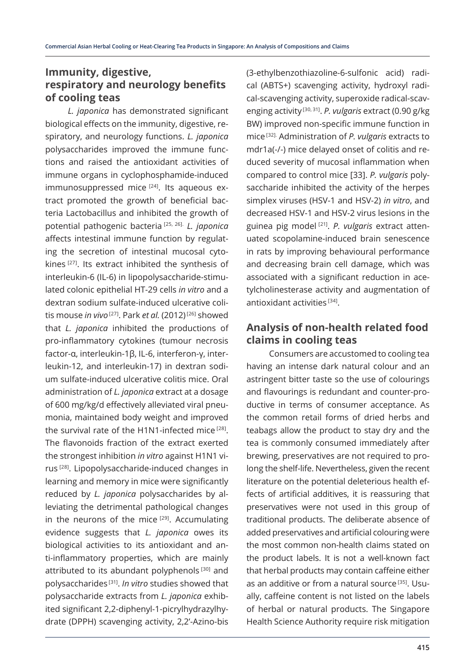### **Immunity, digestive, respiratory and neurology benefits of cooling teas**

*L. japonica* has demonstrated significant biological effects on the immunity, digestive, respiratory, and neurology functions. *L. japonica* polysaccharides improved the immune functions and raised the antioxidant activities of immune organs in cyclophosphamide-induced immunosuppressed mice <a>[24]</a>. Its aqueous extract promoted the growth of beneficial bacteria Lactobacillus and inhibited the growth of potential pathogenic bacteria [25, 26]. *L. japonica* affects intestinal immune function by regulating the secretion of intestinal mucosal cytokines [27]. Its extract inhibited the synthesis of interleukin-6 (IL-6) in lipopolysaccharide-stimulated colonic epithelial HT-29 cells *in vitro* and a dextran sodium sulfate-induced ulcerative colitis mouse *in vivo* [27]. Park *et al.* (2012) [26] showed that *L. japonica* inhibited the productions of pro-inflammatory cytokines (tumour necrosis factor-α, interleukin-1β, IL-6, interferon-γ, interleukin-12, and interleukin-17) in dextran sodium sulfate-induced ulcerative colitis mice. Oral administration of *L. japonica* extract at a dosage of 600 mg/kg/d effectively alleviated viral pneumonia, maintained body weight and improved the survival rate of the H1N1-infected mice  $[28]$ . The flavonoids fraction of the extract exerted the strongest inhibition *in vitro* against H1N1 virus [28]. Lipopolysaccharide-induced changes in learning and memory in mice were significantly reduced by *L. japonica* polysaccharides by alleviating the detrimental pathological changes in the neurons of the mice [29]. Accumulating evidence suggests that *L. japonica* owes its biological activities to its antioxidant and anti-inflammatory properties, which are mainly attributed to its abundant polyphenols<sup>[30]</sup> and polysaccharides [31]. *In vitro* studies showed that polysaccharide extracts from *L. japonica* exhibited significant 2,2-diphenyl-1-picrylhydrazylhydrate (DPPH) scavenging activity, 2,2'-Azino-bis (3-ethylbenzothiazoline-6-sulfonic acid) radical (ABTS+) scavenging activity, hydroxyl radical-scavenging activity, superoxide radical-scavenging activity [30, 31]. *P. vulgaris* extract (0.90 g/kg BW) improved non-specific immune function in mice [32]. Administration of *P. vulgaris* extracts to mdr1a(-/-) mice delayed onset of colitis and reduced severity of mucosal inflammation when compared to control mice [33]. *P. vulgaris* polysaccharide inhibited the activity of the herpes simplex viruses (HSV-1 and HSV-2) *in vitro*, and decreased HSV-1 and HSV-2 virus lesions in the guinea pig model [21]. *P. vulgaris* extract attenuated scopolamine-induced brain senescence in rats by improving behavioural performance and decreasing brain cell damage, which was associated with a significant reduction in acetylcholinesterase activity and augmentation of antioxidant activities [34].

### **Analysis of non-health related food claims in cooling teas**

Consumers are accustomed to cooling tea having an intense dark natural colour and an astringent bitter taste so the use of colourings and flavourings is redundant and counter-productive in terms of consumer acceptance. As the common retail forms of dried herbs and teabags allow the product to stay dry and the tea is commonly consumed immediately after brewing, preservatives are not required to prolong the shelf-life. Nevertheless, given the recent literature on the potential deleterious health effects of artificial additives, it is reassuring that preservatives were not used in this group of traditional products. The deliberate absence of added preservatives and artificial colouring were the most common non-health claims stated on the product labels. It is not a well-known fact that herbal products may contain caffeine either as an additive or from a natural source<sup>[35]</sup>. Usually, caffeine content is not listed on the labels of herbal or natural products. The Singapore Health Science Authority require risk mitigation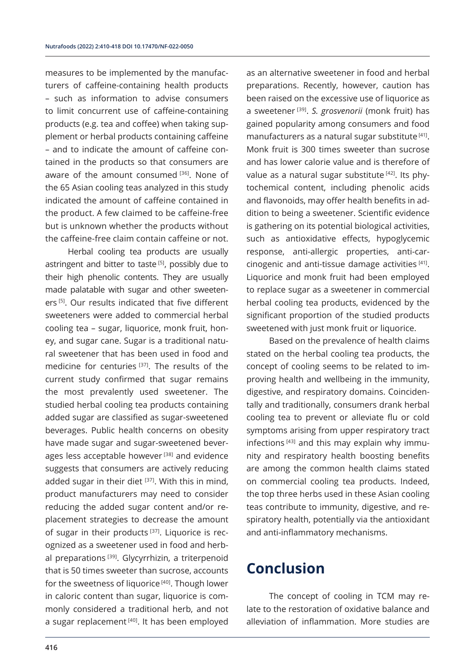measures to be implemented by the manufacturers of caffeine-containing health products – such as information to advise consumers to limit concurrent use of caffeine-containing products (e.g. tea and coffee) when taking supplement or herbal products containing caffeine – and to indicate the amount of caffeine contained in the products so that consumers are aware of the amount consumed [36]. None of the 65 Asian cooling teas analyzed in this study indicated the amount of caffeine contained in the product. A few claimed to be caffeine-free but is unknown whether the products without the caffeine-free claim contain caffeine or not.

Herbal cooling tea products are usually astringent and bitter to taste<sup>[5]</sup>, possibly due to their high phenolic contents. They are usually made palatable with sugar and other sweeteners [5]. Our results indicated that five different sweeteners were added to commercial herbal cooling tea – sugar, liquorice, monk fruit, honey, and sugar cane. Sugar is a traditional natural sweetener that has been used in food and medicine for centuries [37]. The results of the current study confirmed that sugar remains the most prevalently used sweetener. The studied herbal cooling tea products containing added sugar are classified as sugar-sweetened beverages. Public health concerns on obesity have made sugar and sugar-sweetened beverages less acceptable however<sup>[38]</sup> and evidence suggests that consumers are actively reducing added sugar in their diet  $[37]$ . With this in mind, product manufacturers may need to consider reducing the added sugar content and/or replacement strategies to decrease the amount of sugar in their products<sup>[37]</sup>. Liquorice is recognized as a sweetener used in food and herbal preparations<sup>[39]</sup>. Glycyrrhizin, a triterpenoid that is 50 times sweeter than sucrose, accounts for the sweetness of liquorice<sup>[40]</sup>. Though lower in caloric content than sugar, liquorice is commonly considered a traditional herb, and not a sugar replacement [40]. It has been employed as an alternative sweetener in food and herbal preparations. Recently, however, caution has been raised on the excessive use of liquorice as a sweetener [39]. *S. grosvenorii* (monk fruit) has gained popularity among consumers and food manufacturers as a natural sugar substitute [41]. Monk fruit is 300 times sweeter than sucrose and has lower calorie value and is therefore of value as a natural sugar substitute<sup>[42]</sup>. Its phytochemical content, including phenolic acids and flavonoids, may offer health benefits in addition to being a sweetener. Scientific evidence is gathering on its potential biological activities, such as antioxidative effects, hypoglycemic response, anti-allergic properties, anti-carcinogenic and anti-tissue damage activities [41]. Liquorice and monk fruit had been employed to replace sugar as a sweetener in commercial herbal cooling tea products, evidenced by the significant proportion of the studied products sweetened with just monk fruit or liquorice.

Based on the prevalence of health claims stated on the herbal cooling tea products, the concept of cooling seems to be related to improving health and wellbeing in the immunity, digestive, and respiratory domains. Coincidentally and traditionally, consumers drank herbal cooling tea to prevent or alleviate flu or cold symptoms arising from upper respiratory tract infections  $[43]$  and this may explain why immunity and respiratory health boosting benefits are among the common health claims stated on commercial cooling tea products. Indeed, the top three herbs used in these Asian cooling teas contribute to immunity, digestive, and respiratory health, potentially via the antioxidant and anti-inflammatory mechanisms.

# **Conclusion**

The concept of cooling in TCM may relate to the restoration of oxidative balance and alleviation of inflammation. More studies are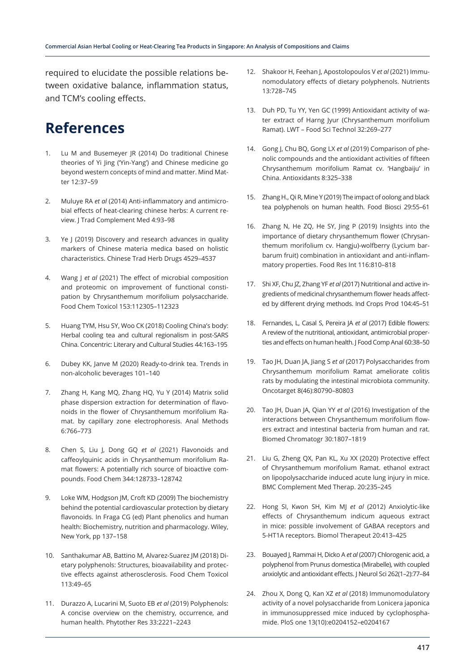required to elucidate the possible relations between oxidative balance, inflammation status, and TCM's cooling effects.

# **References**

- 1. Lu M and Busemeyer JR (2014) Do traditional Chinese theories of Yi Jing ('Yin-Yang') and Chinese medicine go beyond western concepts of mind and matter. Mind Matter 12:37–59
- 2. Muluye RA *et al* (2014) Anti-inflammatory and antimicrobial effects of heat-clearing chinese herbs: A current review. J Trad Complement Med 4:93–98
- 3. Ye J (2019) Discovery and research advances in quality markers of Chinese materia medica based on holistic characteristics. Chinese Trad Herb Drugs 4529–4537
- 4. Wang J *et al* (2021) The effect of microbial composition and proteomic on improvement of functional constipation by Chrysanthemum morifolium polysaccharide. Food Chem Toxicol 153:112305–112323
- 5. Huang TYM, Hsu SY, Woo CK (2018) Cooling China's body: Herbal cooling tea and cultural regionalism in post-SARS China. Concentric: Literary and Cultural Studies 44:163–195
- 6. Dubey KK, Janve M (2020) Ready-to-drink tea. Trends in non-alcoholic beverages 101–140
- 7. Zhang H, Kang MQ, Zhang HQ, Yu Y (2014) Matrix solid phase dispersion extraction for determination of flavonoids in the flower of Chrysanthemum morifolium Ramat. by capillary zone electrophoresis. Anal Methods 6:766–773
- 8. Chen S, Liu J, Dong GQ *et al* (2021) Flavonoids and caffeoylquinic acids in Chrysanthemum morifolium Ramat flowers: A potentially rich source of bioactive compounds. Food Chem 344:128733–128742
- 9. Loke WM, Hodgson JM, Croft KD (2009) The biochemistry behind the potential cardiovascular protection by dietary flavonoids. In Fraga CG (ed) Plant phenolics and human health: Biochemistry, nutrition and pharmacology. Wiley, New York, pp 137–158
- 10. Santhakumar AB, Battino M, Alvarez-Suarez JM (2018) Dietary polyphenols: Structures, bioavailability and protective effects against atherosclerosis. Food Chem Toxicol 113:49–65
- 11. Durazzo A, Lucarini M, Suoto EB *et al* (2019) Polyphenols: A concise overview on the chemistry, occurrence, and human health. Phytother Res 33:2221–2243
- 12. Shakoor H, Feehan J, Apostolopoulos V *et al* (2021) Immunomodulatory effects of dietary polyphenols. Nutrients 13:728–745
- 13. Duh PD, Tu YY, Yen GC (1999) Antioxidant activity of water extract of Harng Jyur (Chrysanthemum morifolium Ramat). LWT – Food Sci Technol 32:269–277
- 14. Gong J, Chu BQ, Gong LX *et al* (2019) Comparison of phenolic compounds and the antioxidant activities of fifteen Chrysanthemum morifolium Ramat cv. 'Hangbaiju' in China. Antioxidants 8:325–338
- 15. Zhang H., Qi R, Mine Y (2019) The impact of oolong and black tea polyphenols on human health. Food Biosci 29:55–61
- 16. Zhang N, He ZQ, He SY, Jing P (2019) Insights into the importance of dietary chrysanthemum flower (Chrysanthemum morifolium cv. Hangju)-wolfberry (Lycium barbarum fruit) combination in antioxidant and anti-inflammatory properties. Food Res Int 116:810–818
- 17. Shi XF, Chu JZ, Zhang YF *et al* (2017) Nutritional and active ingredients of medicinal chrysanthemum flower heads affected by different drying methods. Ind Crops Prod 104:45–51
- 18. Fernandes, L, Casal S, Pereira JA *et al* (2017) Edible flowers: A review of the nutritional, antioxidant, antimicrobial properties and effects on human health. J Food Comp Anal 60:38–50
- 19. Tao JH, Duan JA, Jiang S *et al* (2017) Polysaccharides from Chrysanthemum morifolium Ramat ameliorate colitis rats by modulating the intestinal microbiota community. Oncotarget 8(46):80790–80803
- 20. Tao JH, Duan JA, Qian YY *et al* (2016) Investigation of the interactions between Chrysanthemum morifolium flowers extract and intestinal bacteria from human and rat. Biomed Chromatogr 30:1807–1819
- 21. Liu G, Zheng QX, Pan KL, Xu XX (2020) Protective effect of Chrysanthemum morifolium Ramat. ethanol extract on lipopolysaccharide induced acute lung injury in mice. BMC Complement Med Therap. 20:235–245
- 22. Hong SI, Kwon SH, Kim MJ *et al* (2012) Anxiolytic-like effects of Chrysanthemum indicum aqueous extract in mice: possible involvement of GABAA receptors and 5-HT1A receptors. Biomol Therapeut 20:413–425
- 23. Bouayed J, Rammai H, Dicko A *et al* (2007) Chlorogenic acid, a polyphenol from Prunus domestica (Mirabelle), with coupled anxiolytic and antioxidant effects. J Neurol Sci 262(1–2):77–84
- 24. Zhou X, Dong Q, Kan XZ *et al* (2018) Immunomodulatory activity of a novel polysaccharide from Lonicera japonica in immunosuppressed mice induced by cyclophosphamide. PloS one 13(10):e0204152–e0204167